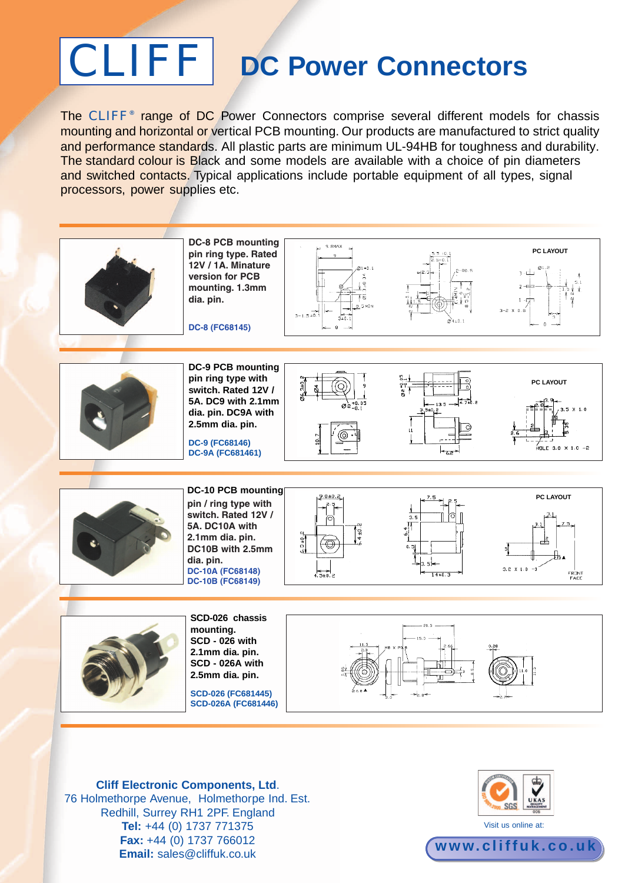## CLIFF **DC Power Connectors**

The CLIFF<sup>®</sup> range of DC Power Connectors comprise several different models for chassis mounting and horizontal or vertical PCB mounting. Our products are manufactured to strict quality and performance standards. All plastic parts are minimum UL-94HB for toughness and durability. The standard colour is Black and some models are available with a choice of pin diameters and switched contacts. Typical applications include portable equipment of all types, signal processors, power supplies etc.



**Cliff Electronic Components, Ltd**. 76 Holmethorpe Avenue, Holmethorpe Ind. Est. Redhill, Surrey RH1 2PF. England **Tel:** +44 (0) 1737 771375 **Fax:** +44 (0) 1737 766012 **Email:** sales@cliffuk.co.uk